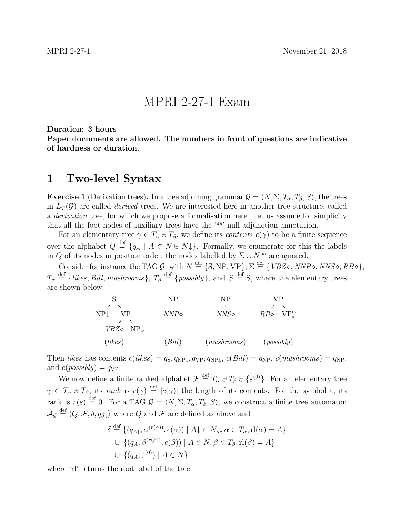## MPRI 2-27-1 Exam

Duration: 3 hours

Paper documents are allowed. The numbers in front of questions are indicative of hardness or duration.

## 1 Two-level Syntax

<span id="page-0-0"></span>**Exercise 1** (Derivation trees). In a tree adjoining grammar  $\mathcal{G} = \langle N, \Sigma, T_\alpha, T_\beta, S \rangle$ , the trees in  $L_T(\mathcal{G})$  are called *derived* trees. We are interested here in another tree structure, called a derivation tree, for which we propose a formalisation here. Let us assume for simplicity that all the foot nodes of auxiliary trees have the 'na' null adjunction annotation.

For an elementary tree  $\gamma \in T_\alpha \oplus T_\beta$ , we define its *contents*  $c(\gamma)$  to be a finite sequence over the alphabet  $Q \stackrel{\text{def}}{=} \{q_A \mid A \in N \cup N\}$ . Formally, we enumerate for this the labels in Q of its nodes in position order; the nodes labelled by  $\Sigma \cup N^{na}$  are ignored.

Consider for instance the TAG  $\mathcal{G}_1$  with  $N \stackrel{\text{def}}{=} \{S, NP, VP\}$ ,  $\Sigma \stackrel{\text{def}}{=} \{VBZ\diamond, NNP\diamond, NNS\diamond, RB\diamond\},\$  $T_{\alpha} \stackrel{\text{def}}{=} \{likes, Bill, mustrooms\}, T_{\beta} \stackrel{\text{def}}{=} \{possibly\}, \text{ and } S \stackrel{\text{def}}{=} S, \text{ where the elementary trees}$ are shown below:

|                                            | NP            | NP            | VР                            |
|--------------------------------------------|---------------|---------------|-------------------------------|
|                                            |               |               |                               |
| NP↓<br>VР<br>$VBZ\diamond$ NP $\downarrow$ | $NNP\diamond$ | $NNS\diamond$ | $RB\diamond$ VP <sup>na</sup> |
| (likes)                                    | Bill          | (mushrooms)   | (possibly)                    |

Then likes has contents  $c(likes) = q_s, q_{NP\downarrow}, q_{VP}, q_{NP\downarrow}, c(Bill) = q_{NP}, c(mushrooms) = q_{NP}$ and  $c(possibly) = q_{VP}$ .

We now define a finite ranked alphabet  $\mathcal{F} \stackrel{\text{def}}{=} T_{\alpha} \oplus T_{\beta} \oplus {\epsilon^{(0)}}$ . For an elementary tree  $\gamma \in T_\alpha \oplus T_\beta$ , its rank is  $r(\gamma) \stackrel{\text{def}}{=} |c(\gamma)|$  the length of its contents. For the symbol  $\varepsilon$ , its rank is  $r(\varepsilon) \stackrel{\text{def}}{=} 0$ . For a TAG  $\mathcal{G} = \langle N, \Sigma, T_\alpha, T_\beta, S \rangle$ , we construct a finite tree automaton  $\mathcal{A}_{\mathcal{G}} \stackrel{\text{def}}{=} \langle Q, \mathcal{F}, \delta, q_{S\downarrow} \rangle$  where Q and  $\mathcal{F}$  are defined as above and

$$
\delta \stackrel{\text{def}}{=} \{ (q_{A\downarrow}, \alpha^{(r(\alpha))}, c(\alpha)) \mid A\downarrow \in N\downarrow, \alpha \in T_{\alpha}, \text{rl}(\alpha) = A \}
$$
  

$$
\cup \{ (q_A, \beta^{(r(\beta))}, c(\beta)) \mid A \in N, \beta \in T_{\beta}, \text{rl}(\beta) = A \}
$$
  

$$
\cup \{ (q_A, \varepsilon^{(0)}) \mid A \in N \}
$$

where 'rl' returns the root label of the tree.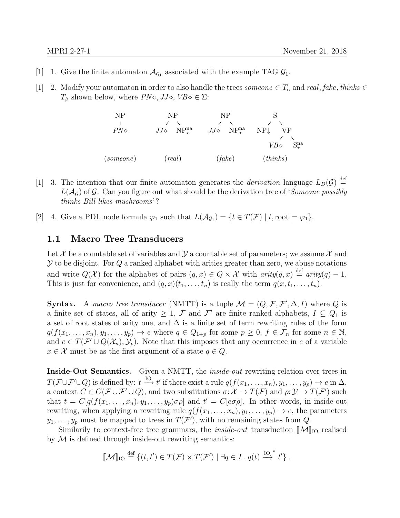- [1] 1. Give the finite automaton  $\mathcal{A}_{\mathcal{G}_1}$  associated with the example TAG  $\mathcal{G}_1$ .
- [1] 2. Modify your automaton in order to also handle the trees *someone*  $\in T_{\alpha}$  and real, fake, thinks  $\in$  $T_\beta$  shown below, where  $PN \diamond$ ,  $JJ \diamond$ ,  $VB \diamond \in \Sigma$ :



- [1] 3. The intention that our finite automaton generates the *derivation* language  $L_D(\mathcal{G}) \stackrel{\text{def}}{=}$  $L(\mathcal{A}_{G})$  of G. Can you figure out what should be the derivation tree of 'Someone possibly thinks Bill likes mushrooms'?
- [2] 4. Give a PDL node formula  $\varphi_1$  such that  $L(\mathcal{A}_{\mathcal{G}_1}) = \{t \in T(\mathcal{F}) \mid t, \text{root} \models \varphi_1\}.$

## 1.1 Macro Tree Transducers

Let X be a countable set of variables and  $\mathcal Y$  a countable set of parameters; we assume X and  $\mathcal Y$  to be disjoint. For  $Q$  a ranked alphabet with arities greater than zero, we abuse notations and write  $Q(\mathcal{X})$  for the alphabet of pairs  $(q, x) \in Q \times \mathcal{X}$  with  $arity(q, x) \stackrel{\text{def}}{=} arity(q) - 1$ . This is just for convenience, and  $(q, x)(t_1, \ldots, t_n)$  is really the term  $q(x, t_1, \ldots, t_n)$ .

**Syntax.** A macro tree transducer (NMTT) is a tuple  $\mathcal{M} = (Q, \mathcal{F}, \mathcal{F}', \Delta, I)$  where Q is a finite set of states, all of arity  $\geq 1$ ,  $\mathcal F$  and  $\mathcal F'$  are finite ranked alphabets,  $I \subseteq Q_1$  is a set of root states of arity one, and  $\Delta$  is a finite set of term rewriting rules of the form  $q(f(x_1, \ldots, x_n), y_1, \ldots, y_p) \to e$  where  $q \in Q_{1+p}$  for some  $p \geq 0, f \in \mathcal{F}_n$  for some  $n \in \mathbb{N}$ , and  $e \in T(\mathcal{F} \cup Q(\mathcal{X}_n), \mathcal{Y}_p)$ . Note that this imposes that any occurrence in e of a variable  $x \in \mathcal{X}$  must be as the first argument of a state  $q \in Q$ .

Inside-Out Semantics. Given a NMTT, the *inside-out* rewriting relation over trees in  $T(\mathcal{F}\cup \mathcal{F}'\cup Q)$  is defined by:  $t \stackrel{\text{IO}}{\longrightarrow} t'$  if there exist a rule  $q(f(x_1,\ldots,x_n), y_1,\ldots,y_p) \to e$  in  $\Delta$ , a context  $C \in C(\mathcal{F} \cup \mathcal{F}' \cup Q)$ , and two substitutions  $\sigma: \mathcal{X} \to T(\mathcal{F})$  and  $\rho: \mathcal{Y} \to T(\mathcal{F}')$  such that  $t = C[q(f(x_1,...,x_n), y_1,..., y_p)\sigma\rho]$  and  $t' = C[e\sigma\rho]$ . In other words, in inside-out rewriting, when applying a rewriting rule  $q(f(x_1, \ldots, x_n), y_1, \ldots, y_p) \rightarrow e$ , the parameters  $y_1, \ldots, y_p$  must be mapped to trees in  $T(\mathcal{F}')$ , with no remaining states from Q.

Similarily to context-free tree grammars, the *inside-out* transduction  $\lbrack \! \lbrack \mathcal{M} \rbrack \! \rbrack_{\text{IO}}$  realised by  $M$  is defined through inside-out rewriting semantics:

$$
[\![\mathcal{M}]\!]_{\text{IO}} \stackrel{\text{def}}{=} \{ (t, t') \in T(\mathcal{F}) \times T(\mathcal{F}') \mid \exists q \in I \, \ldots \, q(t) \stackrel{\text{IO}^*}{\to} t' \} \, .
$$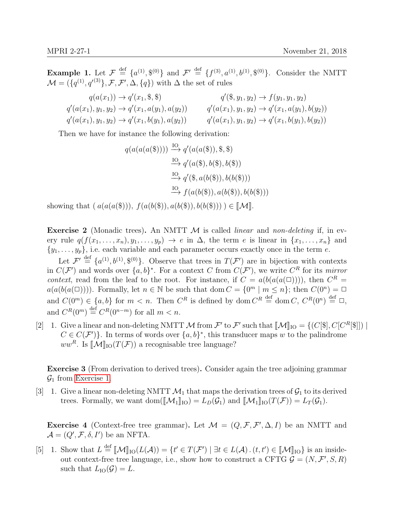**Example 1.** Let  $\mathcal{F} \stackrel{\text{def}}{=} \{a^{(1)}, \mathcal{S}^{(0)}\}$  and  $\mathcal{F}' \stackrel{\text{def}}{=} \{f^{(3)}, a^{(1)}, b^{(1)}, \mathcal{S}^{(0)}\}$ . Consider the NMTT  $\mathcal{M} = (\{q^{(1)}, q'^{(3)}\}, \mathcal{F}, \mathcal{F}', \Delta, \{q\})$  with  $\Delta$  the set of rules

| $q(a(x_1)) \to q'(x_1, \, \$\, , \, \$)$                   | $q'(\$, y_1, y_2) \rightarrow f(y_1, y_1, y_2)$            |
|------------------------------------------------------------|------------------------------------------------------------|
| $q'(a(x_1), y_1, y_2) \rightarrow q'(x_1, a(y_1), a(y_2))$ | $q'(a(x_1), y_1, y_2) \rightarrow q'(x_1, a(y_1), b(y_2))$ |
| $q'(a(x_1), y_1, y_2) \rightarrow q'(x_1, b(y_1), a(y_2))$ | $q'(a(x_1), y_1, y_2) \rightarrow q'(x_1, b(y_1), b(y_2))$ |

Then we have for instance the following derivation:

$$
q(a(a(a(\mathbb{S})))) \xrightarrow{IO} q'(a(a(\mathbb{S})), \mathbb{S}, \mathbb{S})
$$
  
\n
$$
\xrightarrow{IO} q'(a(\mathbb{S}), b(\mathbb{S}), b(\mathbb{S}))
$$
  
\n
$$
\xrightarrow{IO} q'(\mathbb{S}, a(b(\mathbb{S})), b(b(\mathbb{S})))
$$
  
\n
$$
\xrightarrow{IO} f(a(b(\mathbb{S})), a(b(\mathbb{S})), b(b(\mathbb{S})))
$$

showing that  $(a(a(a(3))), f(a(b(3)), a(b(3)), b(b(3))) \in [\mathcal{M}].$ 

**Exercise 2** (Monadic trees). An NMTT  $M$  is called *linear* and *non-deleting* if, in every rule  $q(f(x_1, \ldots, x_n), y_1, \ldots, y_p) \to e$  in  $\Delta$ , the term e is linear in  $\{x_1, \ldots, x_n\}$  and  $\{y_1, \ldots, y_p\}$ , i.e. each variable and each parameter occurs exactly once in the term e.

Let  $\mathcal{F}' \stackrel{\text{def}}{=} \{a^{(1)}, b^{(1)}, \mathcal{F}^{(0)}\}$ . Observe that trees in  $T(\mathcal{F}')$  are in bijection with contexts in  $C(\mathcal{F}')$  and words over  $\{a,b\}^*$ . For a context C from  $C(\mathcal{F}')$ , we write  $C^R$  for its mirror context, read from the leaf to the root. For instance, if  $C = a(b(a(a(\Box))))$ , then  $C^R =$  $a(a(b(a(\Box))))$ . Formally, let  $n \in \mathbb{N}$  be such that dom  $C = \{0^m \mid m \leq n\}$ ; then  $C(0^n) = \Box$ and  $C(0^m) \in \{a, b\}$  for  $m < n$ . Then  $C^R$  is defined by dom  $C^R \stackrel{\text{def}}{=} \text{dom } C$ ,  $C^R(0^n) \stackrel{\text{def}}{=} \square$ , and  $C^R(0^m) \stackrel{\text{def}}{=} C^R(0^{n-m})$  for all  $m < n$ .

[2] 1. Give a linear and non-deleting NMTT M from  $\mathcal{F}'$  to  $\mathcal{F}'$  such that  $[\![\mathcal{M}]\!]_{\text{IO}} = \{ (C[\$], C[C^R[\$]] ) \mid C \in C(\mathcal{F}')$ . In terms of words over  $[a, b]^*$  this transducer maps  $w$  to the polindrome.  $C \in C(\mathcal{F}')$ . In terms of words over  $\{a, b\}^*$ , this transducer maps w to the palindrome ww<sup>R</sup>. Is  $\mathcal{M}\vert_{\text{IO}}(T(\mathcal{F}))$  a recognisable tree language?

Exercise 3 (From derivation to derived trees). Consider again the tree adjoining grammar  $\mathcal{G}_1$  from [Exercise 1.](#page-0-0)

[3] 1. Give a linear non-deleting NMTT  $\mathcal{M}_1$  that maps the derivation trees of  $\mathcal{G}_1$  to its derived trees. Formally, we want dom( $\llbracket \mathcal{M}_1 \rrbracket_{\text{IO}} = L_D(\mathcal{G}_1)$  and  $\llbracket \mathcal{M}_1 \rrbracket_{\text{IO}}(T(\mathcal{F})) = L_T(\mathcal{G}_1)$ .

**Exercise 4** (Context-free tree grammar). Let  $\mathcal{M} = (Q, \mathcal{F}, \mathcal{F}', \Delta, I)$  be an NMTT and  $\mathcal{A} = (Q', \mathcal{F}, \delta, I')$  be an NFTA.

[5] 1. Show that  $L \stackrel{\text{def}}{=} [\![\mathcal{M}]\!]_{\text{IO}}(L(\mathcal{A})) = \{t' \in T(\mathcal{F}') \mid \exists t \in L(\mathcal{A}) \cdot (t, t') \in [\![\mathcal{M}]\!]_{\text{IO}}\}$  is an inside-<br>out context free tree language i.e. show how to construct a CFTC  $\mathcal{C} = (N, \mathcal{F}' \times \mathcal{D})$ out context-free tree language, i.e., show how to construct a CFTG  $\mathcal{G} = (N, \mathcal{F}', S, R)$ such that  $L_{\text{IO}}(\mathcal{G}) = L$ .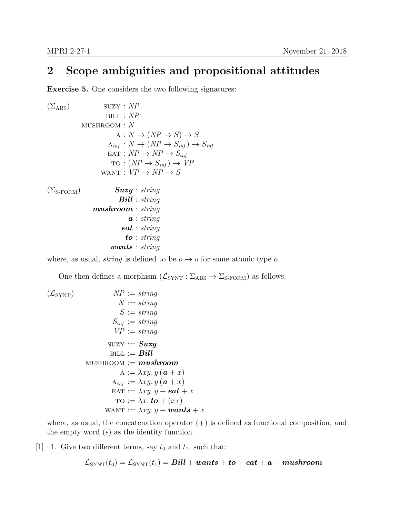## 2 Scope ambiguities and propositional attitudes

Exercise 5. One considers the two following signatures:

$$
\begin{array}{ll}\n(\Sigma_{\text{ABS}}) & \text{SUZY : NP} \\
 & \text{BILL : NP} \\
 & \text{A : } N \rightarrow (NP \rightarrow S) \rightarrow S \\
 & \text{A}_{\text{inf}} : N \rightarrow (NP \rightarrow S_{\text{inf}}) \rightarrow S_{\text{inf}} \\
 & \text{EAT : NP} \rightarrow NP \rightarrow S_{\text{inf}} \\
 & \text{TO : } (NP \rightarrow S_{\text{inf}}) \rightarrow VP \\
 & \text{WANT : VP} \rightarrow NP \rightarrow S \\
 & (\Sigma_{\text{S-FORM}}) & \text{Suzzy : string} \\
 & \text{Bill : string} \\
 & \text{in this } \text{matrix} \\
 & \text{a : string} \\
 & \text{a : string} \\
 & \text{to : string} \\
 & \text{wants : string}\n \end{array}
$$

where, as usual, *string* is defined to be  $o \rightarrow o$  for some atomic type o.

One then defines a morphism  $(\mathcal{L}_{\text{SYNT}} : \Sigma_{\text{ABS}} \to \Sigma_{\text{S-FORM}})$  as follows:

$$
\begin{array}{ll}\n(\mathcal{L}_{\text{SYNT}}) & NP := string \\
N := string \\
S := string \\
S_{\text{inf}} := string \\
VP := string \\
\text{SUZY} := \text{String} \\
\text{SUZY} := \text{String} \\
\text{SUZY} := \text{Suzy} \\
\text{BILL} := \text{Bill} \\
\text{MUSHROOM} := \text{mushroom} \\
A := \lambda xy. y \left( \mathbf{a} + x \right) \\
A_{\text{inf}} := \lambda xy. y \left( \mathbf{a} + x \right) \\
\text{EAT} := \lambda xy. y + \text{eat} + x \\
\text{TO} := \lambda x. \text{to} + (x \epsilon) \\
\text{WANT} := \lambda xy. y + \text{wants} + x\n\end{array}
$$

where, as usual, the concatenation operator  $(+)$  is defined as functional composition, and the empty word  $(\epsilon)$  as the identity function.

[1] 1. Give two different terms, say  $t_0$  and  $t_1$ , such that:

$$
\mathcal{L}_{\text{SYNT}}(t_0) = \mathcal{L}_{\text{SYNT}}(t_1) = \textit{Bill} + \textit{wants} + \textit{to} + \textit{eat} + \textit{a} + \textit{mushroom}
$$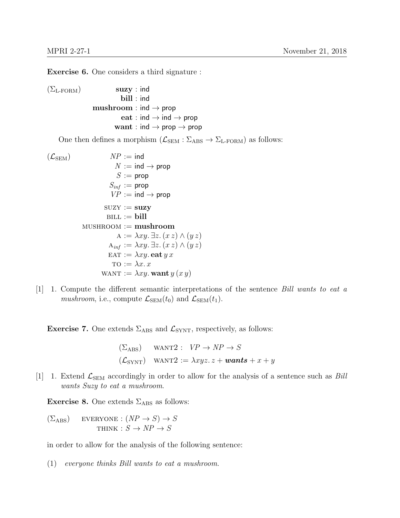Exercise 6. One considers a third signature :

 $(\Sigma_{\text{L-FORM}})$  suzy : ind bill : ind  $mushroom : ind \rightarrow prop$ eat : ind  $\rightarrow$  ind  $\rightarrow$  prop want : ind  $\rightarrow$  prop  $\rightarrow$  prop

One then defines a morphism  $(\mathcal{L}_{SEM} : \Sigma_{ABS} \to \Sigma_{L-FORM})$  as follows:

$$
NP := ind
$$
\n
$$
NP := ind \rightarrow prop
$$
\n
$$
S := prop
$$
\n
$$
S_{inf} := prop
$$
\n
$$
VP := ind \rightarrow prop
$$
\n
$$
VP := ind \rightarrow prop
$$
\n
$$
VP := ind \rightarrow prop
$$
\n
$$
SUZY := \textbf{suzzy}
$$
\n
$$
BILL := \textbf{bill}
$$
\n
$$
MUSHRoom := \textbf{mushroom}
$$
\n
$$
A := \lambda xy. \exists z. (xz) \land (yz)
$$
\n
$$
A_{inf} := \lambda xy. \exists z. (xz) \land (yz)
$$
\n
$$
EAT := \lambda xy. \textbf{eat} y x
$$
\n
$$
TO := \lambda x. x
$$
\n
$$
WANT := \lambda xy. \textbf{want} y (x y)
$$

 $[1]$  1. Compute the different semantic interpretations of the sentence *Bill wants to eat a mushroom*, i.e., compute  $\mathcal{L}_{SEM}(t_0)$  and  $\mathcal{L}_{SEM}(t_1)$ .

**Exercise 7.** One extends  $\Sigma_{\text{ABS}}$  and  $\mathcal{L}_{\text{SYNT}}$ , respectively, as follows:

$$
\begin{aligned}\n(\Sigma_{\text{ABS}}) \quad \text{WANT2}: \quad VP \to NP \to S \\
(\mathcal{L}_{\text{SYNT}}) \quad \text{WANT2}: &= \lambda xyz. \ z + \text{wants} + x + y\n\end{aligned}
$$

[1] 1. Extend  $\mathcal{L}_{SEM}$  accordingly in order to allow for the analysis of a sentence such as *Bill* wants Suzy to eat a mushroom.

**Exercise 8.** One extends  $\Sigma_{\text{ABS}}$  as follows:

$$
\begin{array}{ll} \text{(}\Sigma_{\rm ABS)} & \text{EVERYONE}: (NP \rightarrow S) \rightarrow S \\ \text{THINK}: S \rightarrow NP \rightarrow S \end{array}
$$

in order to allow for the analysis of the following sentence:

(1) everyone thinks Bill wants to eat a mushroom.